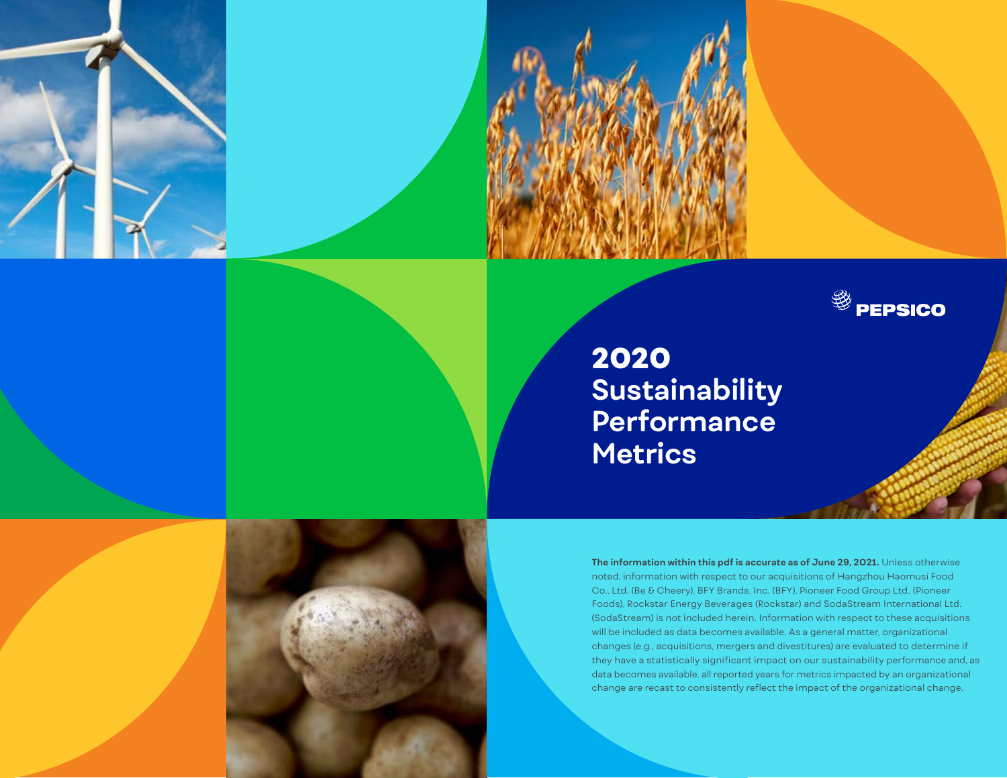



# 2020 **Sustainability Performance Metrics**

**The information within this pdf is accurate as of June 29, 2021.** Unless otherwise noted, information with respect to our acquisitions of Hangzhou Haomusi Food Co., Ltd. (Be & Cheery), BFY Brands, Inc. (BFY), Pioneer Food Group Ltd. (Pioneer Foods), Rockstar Energy Beverages (Rockstar) and SodaStream International Ltd. (SodaStream) is not included herein. Information with respect to these acquisitions will be included as data becomes available. As a general matter, organizational changes (e.g., acquisitions, mergers and divestitures) are evaluated to determine if they have a statistically significant impact on our sustainability performance and, as data becomes available, all reported years for metrics impacted by an organizational change are recast to consistently reflect the impact of the organizational change.

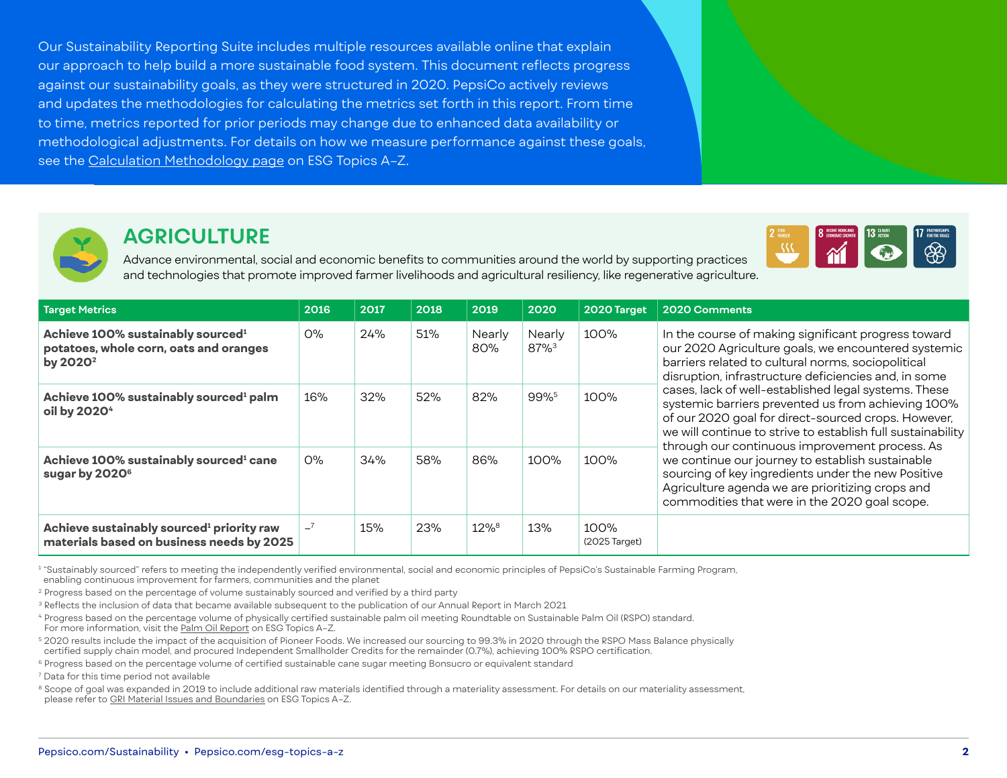Our Sustainability Reporting Suite includes multiple resources available online that explain our approach to help build a more sustainable food system. This document reflects progress against our sustainability goals, as they were structured in 2020. PepsiCo actively reviews and updates the methodologies for calculating the metrics set forth in this report. From time to time, metrics reported for prior periods may change due to enhanced data availability or methodological adjustments. For details on how we measure performance against these goals, see the [Calculation Methodology page](https://www.pepsico.com/esg-topics-a-z/calculation-methodology) on ESG Topics A-Z.



## **AGRICULTURE**

Advance environmental, social and economic benefits to communities around the world by supporting practices and technologies that promote improved farmer livelihoods and agricultural resiliency, like regenerative agriculture.

| <b>Target Metrics</b>                                                                                           | 2016  | 2017 | 2018 | 2019                | 2020                | 2020 Target           | 2020 Comments                                                                                                                                                                                                                                                                                                                                                                                                                                                                                     |
|-----------------------------------------------------------------------------------------------------------------|-------|------|------|---------------------|---------------------|-----------------------|---------------------------------------------------------------------------------------------------------------------------------------------------------------------------------------------------------------------------------------------------------------------------------------------------------------------------------------------------------------------------------------------------------------------------------------------------------------------------------------------------|
| Achieve 100% sustainably sourced <sup>1</sup><br>potatoes, whole corn, oats and oranges<br>by 2020 <sup>2</sup> | $O\%$ | 24%  | 51%  | Nearly<br>80%       | Nearly<br>$87%^{3}$ | 100%                  | In the course of making significant progress toward<br>our 2020 Agriculture goals, we encountered systemic<br>barriers related to cultural norms, sociopolitical<br>disruption, infrastructure deficiencies and, in some                                                                                                                                                                                                                                                                          |
| Achieve 100% sustainably sourced <sup>1</sup> palm<br>oil by 2020 <sup>4</sup>                                  | 16%   | 32%  | 52%  | 82%                 | 99%5                | 100%                  | cases, lack of well-established legal systems. These<br>systemic barriers prevented us from achieving 100%<br>of our 2020 goal for direct-sourced crops. However,<br>we will continue to strive to establish full sustainability<br>through our continuous improvement process. As<br>we continue our journey to establish sustainable<br>sourcing of key ingredients under the new Positive<br>Agriculture agenda we are prioritizing crops and<br>commodities that were in the 2020 goal scope. |
| Achieve 100% sustainably sourced <sup>1</sup> cane<br>sugar by 2020 <sup>6</sup>                                | $O\%$ | 34%  | 58%  | 86%                 | 100%                | 100%                  |                                                                                                                                                                                                                                                                                                                                                                                                                                                                                                   |
| Achieve sustainably sourced <sup>1</sup> priority raw<br>materials based on business needs by 2025              | $-7$  | 15%  | 23%  | $12\%$ <sup>8</sup> | 13%                 | 100%<br>(2025 Target) |                                                                                                                                                                                                                                                                                                                                                                                                                                                                                                   |

<sup>1</sup> "Sustainably sourced" refers to meeting the independently verified environmental, social and economic principles of PepsiCo's Sustainable Farming Program,

enabling continuous improvement for farmers, communities and the planet

<sup>2</sup> Progress based on the percentage of volume sustainably sourced and verified by a third party

<sup>3</sup> Reflects the inclusion of data that became available subsequent to the publication of our Annual Report in March 2021

<sup>4</sup> Progress based on the percentage volume of physically certified sustainable palm oil meeting Roundtable on Sustainable Palm Oil (RSPO) standard. For more information, visit the [Palm Oil Report](https://www.pepsico.com/esg-topics-a-z/palm-oil) on ESG Topics A–Z.

<sup>5</sup> 2020 results include the impact of the acquisition of Pioneer Foods. We increased our sourcing to 99.3% in 2020 through the RSPO Mass Balance physically certified supply chain model, and procured Independent Smallholder Credits for the remainder (0.7%), achieving 100% RSPO certification.

<sup>6</sup> Progress based on the percentage volume of certified sustainable cane sugar meeting Bonsucro or equivalent standard

7 Data for this time period not available

 $^{\text{\tiny{8}}}$  Scope of goal was expanded in 2019 to include additional raw materials identified through a materiality assessment. For details on our materiality assessment, please refer to [GRI Material Issues and Boundaries](https://www.pepsico.com/esg-topics-a-z/gri-material-issues-and-boundaries) on ESG Topics A-Z.

 $\overline{\mathcal{W}}$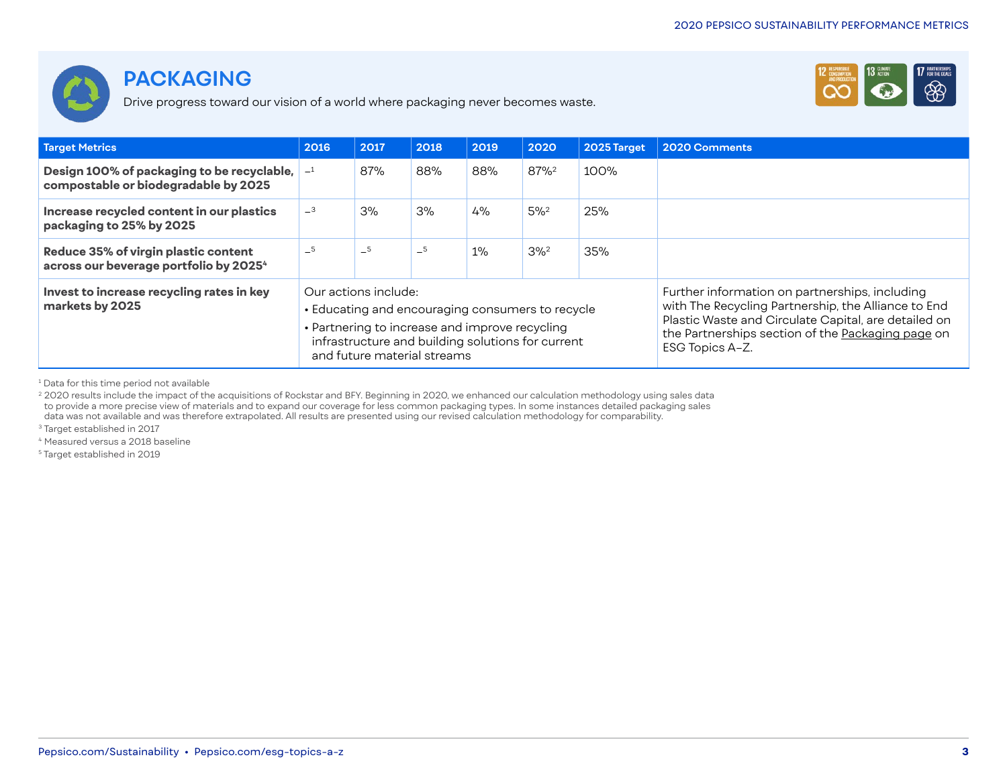



Drive progress toward our vision of a world where packaging never becomes waste.

| <b>Target Metrics</b>                                                                               | 2016 | 2017                                                | 2018 | 2019                                                                                                                                                    | 2020               | 2025 Target                                                                                                                                                                                                                           | 2020 Comments |
|-----------------------------------------------------------------------------------------------------|------|-----------------------------------------------------|------|---------------------------------------------------------------------------------------------------------------------------------------------------------|--------------------|---------------------------------------------------------------------------------------------------------------------------------------------------------------------------------------------------------------------------------------|---------------|
| Design 100% of packaging to be recyclable, $\vert -1 \vert$<br>compostable or biodegradable by 2025 |      | 87%                                                 | 88%  | 88%                                                                                                                                                     | 87% <sup>2</sup>   | 100%                                                                                                                                                                                                                                  |               |
| Increase recycled content in our plastics<br>packaging to 25% by 2025                               | $-3$ | 3%                                                  | 3%   | 4%                                                                                                                                                      | $5\%^2$            | 25%                                                                                                                                                                                                                                   |               |
| Reduce 35% of virgin plastic content<br>across our beverage portfolio by 2025 <sup>4</sup>          | $-5$ | $-5$                                                | $-5$ | $1\%$                                                                                                                                                   | $3\%$ <sup>2</sup> | 35%                                                                                                                                                                                                                                   |               |
| Invest to increase recycling rates in key<br>markets by 2025                                        |      | Our actions include:<br>and future material streams |      | • Educating and encouraging consumers to recycle<br>• Partnering to increase and improve recycling<br>infrastructure and building solutions for current |                    | Further information on partnerships, including<br>with The Recycling Partnership, the Alliance to End<br>Plastic Waste and Circulate Capital, are detailed on<br>the Partnerships section of the Packaging page on<br>ESG Topics A-Z. |               |

1 Data for this time period not available

<sup>2</sup> 2020 results include the impact of the acquisitions of Rockstar and BFY. Beginning in 2020, we enhanced our calculation methodology using sales data to provide a more precise view of materials and to expand our coverage for less common packaging types. In some instances detailed packaging sales data was not available and was therefore extrapolated. All results are presented using our revised calculation methodology for comparability.

<sup>3</sup> Target established in 2017

<sup>4</sup> Measured versus a 2018 baseline

5 Target established in 2019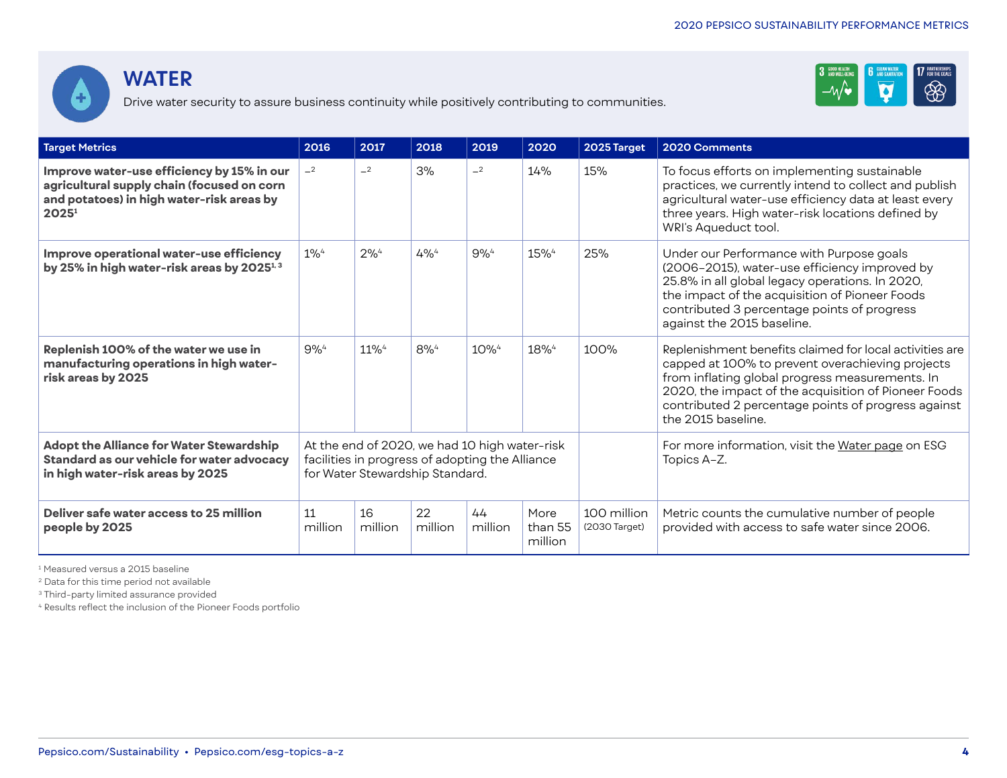



Drive water security to assure business continuity while positively contributing to communities.

| <b>Target Metrics</b>                                                                                                                                      | 2016          | 2017          | 2018                                                                                                                                | 2019          | 2020                       | 2025 Target                  | 2020 Comments                                                                                                                                                                                                                                                                                       |
|------------------------------------------------------------------------------------------------------------------------------------------------------------|---------------|---------------|-------------------------------------------------------------------------------------------------------------------------------------|---------------|----------------------------|------------------------------|-----------------------------------------------------------------------------------------------------------------------------------------------------------------------------------------------------------------------------------------------------------------------------------------------------|
| Improve water-use efficiency by 15% in our<br>agricultural supply chain (focused on corn<br>and potatoes) in high water-risk areas by<br>2025 <sup>1</sup> | $-2$          | $-2$          | 3%                                                                                                                                  | $-2$          | 14%                        | 15%                          | To focus efforts on implementing sustainable<br>practices, we currently intend to collect and publish<br>agricultural water-use efficiency data at least every<br>three years. High water-risk locations defined by<br>WRI's Aqueduct tool.                                                         |
| Improve operational water-use efficiency<br>by 25% in high water-risk areas by 2025 <sup>1,3</sup>                                                         | $1\%4$        | $2\%^{4}$     | $4\%^{4}$                                                                                                                           | $9%^{4}$      | 15% <sup>4</sup>           | 25%                          | Under our Performance with Purpose goals<br>(2006-2015), water-use efficiency improved by<br>25.8% in all global legacy operations. In 2020,<br>the impact of the acquisition of Pioneer Foods<br>contributed 3 percentage points of progress<br>against the 2015 baseline.                         |
| Replenish 100% of the water we use in<br>manufacturing operations in high water-<br>risk areas by 2025                                                     | $9%^{4}$      | $11\%4$       | $8\%^{4}$                                                                                                                           | $10\%4$       | 18% <sup>4</sup>           | 100%                         | Replenishment benefits claimed for local activities are<br>capped at 100% to prevent overachieving projects<br>from inflating global progress measurements. In<br>2020, the impact of the acquisition of Pioneer Foods<br>contributed 2 percentage points of progress against<br>the 2015 baseline. |
| Adopt the Alliance for Water Stewardship<br>Standard as our vehicle for water advocacy<br>in high water-risk areas by 2025                                 |               |               | At the end of 2020, we had 10 high water-risk<br>facilities in progress of adopting the Alliance<br>for Water Stewardship Standard. |               |                            |                              | For more information, visit the Water page on ESG<br>Topics A-Z.                                                                                                                                                                                                                                    |
| Deliver safe water access to 25 million<br>people by 2025                                                                                                  | 11<br>million | 16<br>million | 22<br>million                                                                                                                       | 44<br>million | More<br>than 55<br>million | 100 million<br>(2030 Target) | Metric counts the cumulative number of people<br>provided with access to safe water since 2006.                                                                                                                                                                                                     |

1 Measured versus a 2015 baseline

2 Data for this time period not available

3 Third-party limited assurance provided

4 Results reflect the inclusion of the Pioneer Foods portfolio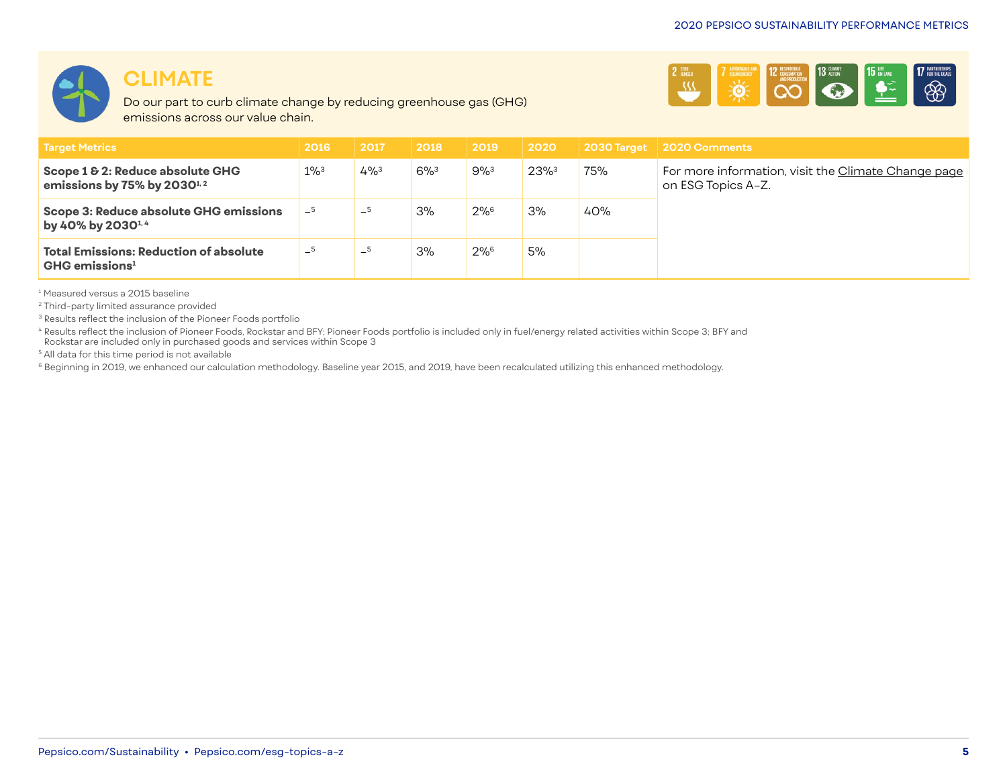

#### **CLIMATE**

Do our part to curb climate change by reducing greenhouse gas (GHG) emissions across our value chain.



| <b>Target Metrics</b>                                                         | 2016               | 2017      | 2018      | $\mid$ 2019 | $\mid$ 2020 $\mid$ |     | 2030 Target 2020 Comments                                                 |
|-------------------------------------------------------------------------------|--------------------|-----------|-----------|-------------|--------------------|-----|---------------------------------------------------------------------------|
| Scope 1 & 2: Reduce absolute GHG<br>emissions by 75% by $2030^{1/2}$          | $1\%$ <sup>3</sup> | $4\%^{3}$ | $6\%^{3}$ | 9%3         | $23%^{3}$          | 75% | For more information, visit the Climate Change page<br>on ESG Topics A-Z. |
| Scope 3: Reduce absolute GHG emissions<br>by 40% by 2030 <sup>1, 4</sup>      | $-5$               | $-5$      | 3%        | $2\%^6$     | 3%                 | 40% |                                                                           |
| <b>Total Emissions: Reduction of absolute</b><br>$GHG$ emissions <sup>1</sup> | $-5$               | $-5$      | 3%        | $2\%^6$     | 5%                 |     |                                                                           |

1 Measured versus a 2015 baseline

2 Third-party limited assurance provided

<sup>3</sup> Results reflect the inclusion of the Pioneer Foods portfolio

<sup>4</sup> Results reflect the inclusion of Pioneer Foods, Rockstar and BFY; Pioneer Foods portfolio is included only in fuel/energy related activities within Scope 3; BFY and Rockstar are included only in purchased goods and services within Scope 3

<sup>5</sup> All data for this time period is not available

<sup>6</sup> Beginning in 2019, we enhanced our calculation methodology. Baseline year 2015, and 2019, have been recalculated utilizing this enhanced methodology.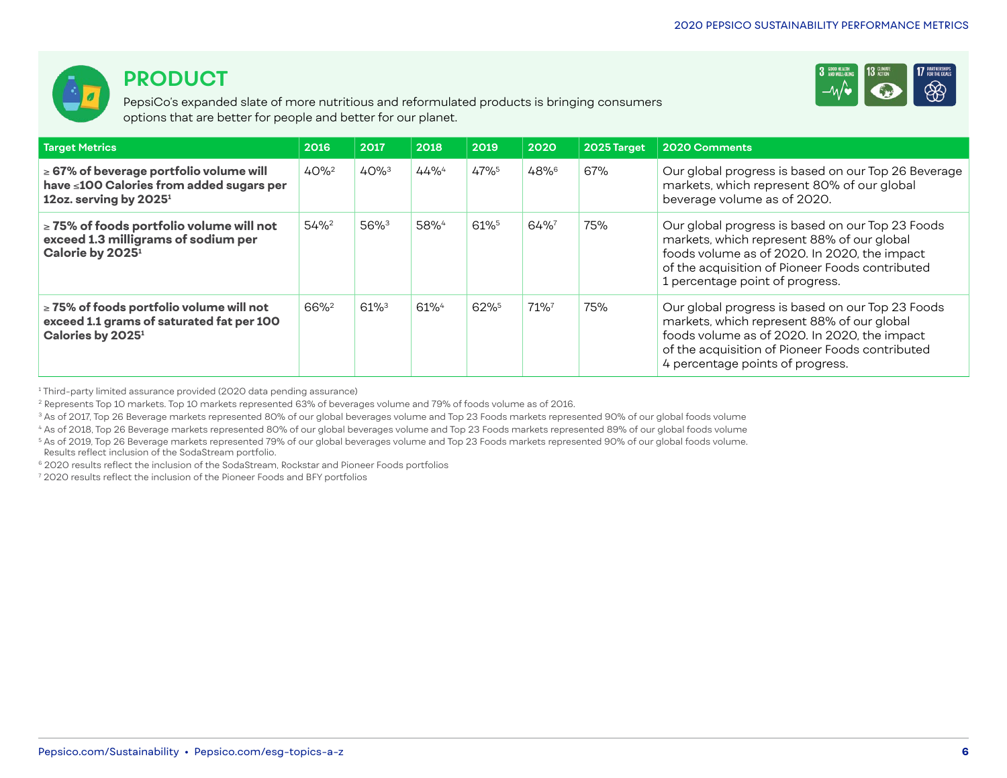

### **PRODUCT**

PepsiCo's expanded slate of more nutritious and reformulated products is bringing consumers options that are better for people and better for our planet.



| Target Metrics                                                                                                                 | 2016             | 2017                | 2018             | 2019 | 2020 | 2025 Target | 2020 Comments                                                                                                                                                                                                                         |
|--------------------------------------------------------------------------------------------------------------------------------|------------------|---------------------|------------------|------|------|-------------|---------------------------------------------------------------------------------------------------------------------------------------------------------------------------------------------------------------------------------------|
| $\geq$ 67% of beverage portfolio volume will<br>have ≤100 Calories from added sugars per<br>12oz. serving by 2025 <sup>1</sup> | $40%^{2}$        | $40%^{3}$           | 44%4             | 47%5 | 48%6 | 67%         | Our global progress is based on our Top 26 Beverage<br>markets, which represent 80% of our global<br>beverage volume as of 2020.                                                                                                      |
| $\ge$ 75% of foods portfolio volume will not<br>exceed 1.3 milligrams of sodium per<br>Calorie by 2025 <sup>1</sup>            | $54%^{2}$        | 56% <sup>3</sup>    | 58% <sup>4</sup> | 61%  | 64%  | 75%         | Our global progress is based on our Top 23 Foods<br>markets, which represent 88% of our global<br>foods volume as of 2020. In 2020, the impact<br>of the acquisition of Pioneer Foods contributed<br>1 percentage point of progress.  |
| $\ge$ 75% of foods portfolio volume will not<br>exceed 1.1 grams of saturated fat per 100<br>Calories by 2025 <sup>1</sup>     | 66% <sup>2</sup> | $61\%$ <sup>3</sup> | $61\%4$          | 62%  | 71%7 | 75%         | Our global progress is based on our Top 23 Foods<br>markets, which represent 88% of our global<br>foods volume as of 2020. In 2020, the impact<br>of the acquisition of Pioneer Foods contributed<br>4 percentage points of progress. |

1 Third-party limited assurance provided (2020 data pending assurance)

<sup>2</sup> Represents Top 10 markets. Top 10 markets represented 63% of beverages volume and 79% of foods volume as of 2016.

<sup>3</sup> As of 2017, Top 26 Beverage markets represented 80% of our global beverages volume and Top 23 Foods markets represented 90% of our global foods volume

<sup>4</sup> As of 2018, Top 26 Beverage markets represented 80% of our global beverages volume and Top 23 Foods markets represented 89% of our global foods volume

<sup>5</sup> As of 2019, Top 26 Beverage markets represented 79% of our global beverages volume and Top 23 Foods markets represented 90% of our global foods volume.

Results reflect inclusion of the SodaStream portfolio.

6 2020 results reflect the inclusion of the SodaStream, Rockstar and Pioneer Foods portfolios

7 2020 results reflect the inclusion of the Pioneer Foods and BFY portfolios